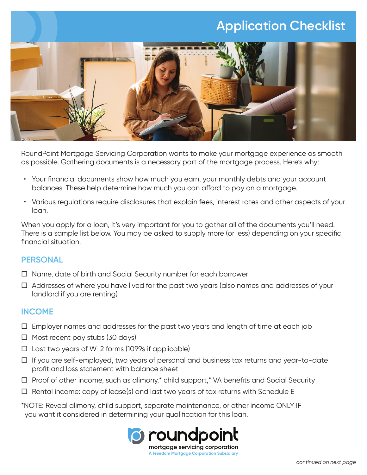# **Application Checklist**



RoundPoint Mortgage Servicing Corporation wants to make your mortgage experience as smooth as possible. Gathering documents is a necessary part of the mortgage process. Here's why:

- Your financial documents show how much you earn, your monthly debts and your account balances. These help determine how much you can afford to pay on a mortgage.
- Various regulations require disclosures that explain fees, interest rates and other aspects of your loan.

When you apply for a loan, it's very important for you to gather all of the documents you'll need. There is a sample list below. You may be asked to supply more (or less) depending on your specific financial situation.

### **PERSONAL**

- $\Box$  Name, date of birth and Social Security number for each borrower
- $\Box$  Addresses of where you have lived for the past two years (also names and addresses of your landlord if you are renting)

#### **INCOME**

- $\Box$  Employer names and addresses for the past two years and length of time at each job
- $\Box$  Most recent pay stubs (30 days)
- $\Box$  Last two years of W-2 forms (1099s if applicable)
- $\Box$  If you are self-employed, two years of personal and business tax returns and year-to-date profit and loss statement with balance sheet
- $\Box$  Proof of other income, such as alimony,\* child support,\* VA benefits and Social Security
- $\Box$  Rental income: copy of lease(s) and last two years of tax returns with Schedule E

\*NOTE: Reveal alimony, child support, separate maintenance, or other income ONLY IF you want it considered in determining your qualification for this loan.